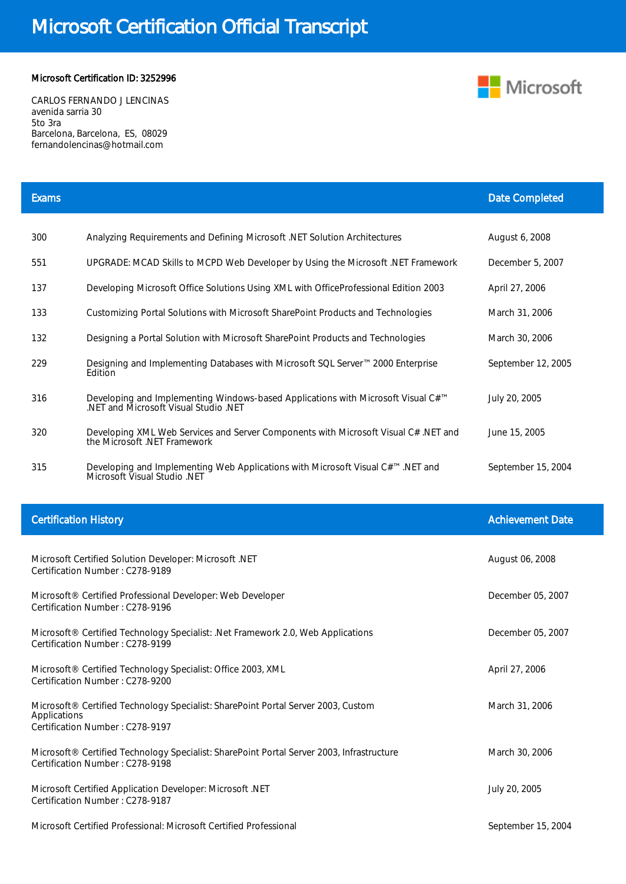## Microsoft Certification Official Transcript

## Microsoft Certification ID: 3252996

CARLOS FERNANDO J LENCINAS avenida sarria 30 5to 3ra Barcelona, Barcelona, ES, 08029 fernandolencinas@hotmail.com

| <b>Exams</b>                 |                                                                                                                                       | <b>Date Completed</b>   |
|------------------------------|---------------------------------------------------------------------------------------------------------------------------------------|-------------------------|
| 300                          | Analyzing Requirements and Defining Microsoft .NET Solution Architectures                                                             | August 6, 2008          |
| 551                          | UPGRADE: MCAD Skills to MCPD Web Developer by Using the Microsoft .NET Framework                                                      | December 5, 2007        |
| 137                          | Developing Microsoft Office Solutions Using XML with OfficeProfessional Edition 2003                                                  | April 27, 2006          |
| 133                          | Customizing Portal Solutions with Microsoft SharePoint Products and Technologies                                                      | March 31, 2006          |
| 132                          | Designing a Portal Solution with Microsoft SharePoint Products and Technologies                                                       | March 30, 2006          |
| 229                          | Designing and Implementing Databases with Microsoft SQL Server™ 2000 Enterprise<br>Edition                                            | September 12, 2005      |
| 316                          | Developing and Implementing Windows-based Applications with Microsoft Visual C# <sup>™</sup><br>.NET and Microsoft Visual Studio .NET | July 20, 2005           |
| 320                          | Developing XML Web Services and Server Components with Microsoft Visual C# .NET and<br>the Microsoft .NET Framework                   | June 15, 2005           |
| 315                          | Developing and Implementing Web Applications with Microsoft Visual C#™ .NET and<br>Microsoft Visual Studio .NET                       | September 15, 2004      |
|                              |                                                                                                                                       |                         |
|                              |                                                                                                                                       |                         |
| <b>Certification History</b> |                                                                                                                                       | <b>Achievement Date</b> |
|                              | Microsoft Certified Solution Developer: Microsoft .NET<br>Certification Number: C278-9189                                             | August 06, 2008         |
|                              | Microsoft® Certified Professional Developer: Web Developer<br>Certification Number: C278-9196                                         | December 05, 2007       |
|                              | Microsoft <sup>®</sup> Certified Technology Specialist: .Net Framework 2.0, Web Applications<br>Certification Number: C278-9199       | December 05, 2007       |
|                              | Microsoft® Certified Technology Specialist: Office 2003, XML<br>Certification Number: C278-9200                                       | April 27, 2006          |
| Applications                 | Microsoft® Certified Technology Specialist: SharePoint Portal Server 2003, Custom<br>Certification Number: C278-9197                  | March 31, 2006          |
|                              | Microsoft® Certified Technology Specialist: SharePoint Portal Server 2003, Infrastructure<br>Certification Number: C278-9198          | March 30, 2006          |
|                              | Microsoft Certified Application Developer: Microsoft .NET<br>Certification Number: C278-9187                                          | July 20, 2005           |